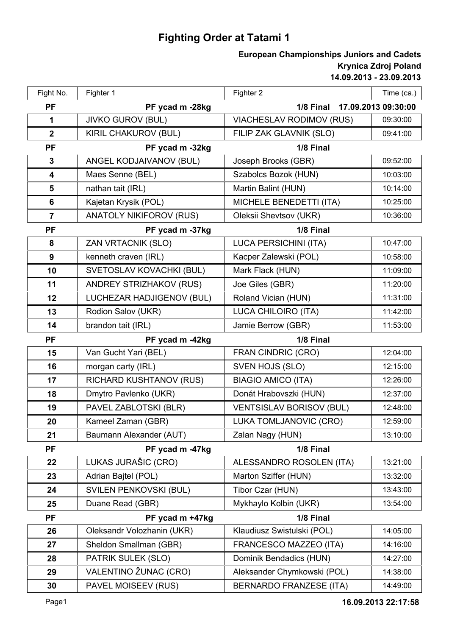## **Fighting Order at Tatami 1**

## **14.09.2013 - 23.09.2013 Krynica Zdroj Poland European Championships Juniors and Cadets**

| Fight No.        | Fighter 1                      | Fighter 2                        | Time (ca.) |
|------------------|--------------------------------|----------------------------------|------------|
| <b>PF</b>        | PF ycad m -28kg                | 1/8 Final<br>17.09.2013 09:30:00 |            |
| $\mathbf 1$      | <b>JIVKO GUROV (BUL)</b>       | <b>VIACHESLAV RODIMOV (RUS)</b>  | 09:30:00   |
| $\boldsymbol{2}$ | <b>KIRIL CHAKUROV (BUL)</b>    | FILIP ZAK GLAVNIK (SLO)          | 09:41:00   |
| <b>PF</b>        | PF ycad m -32kg                | 1/8 Final                        |            |
| 3                | ANGEL KODJAIVANOV (BUL)        | Joseph Brooks (GBR)              | 09:52:00   |
| 4                | Maes Senne (BEL)               | Szabolcs Bozok (HUN)             | 10:03:00   |
| 5                | nathan tait (IRL)              | Martin Balint (HUN)              | 10:14:00   |
| 6                | Kajetan Krysik (POL)           | MICHELE BENEDETTI (ITA)          | 10:25:00   |
| $\overline{7}$   | <b>ANATOLY NIKIFOROV (RUS)</b> | Oleksii Shevtsov (UKR)           | 10:36:00   |
| <b>PF</b>        | PF ycad m -37kg<br>1/8 Final   |                                  |            |
| 8                | <b>ZAN VRTACNIK (SLO)</b>      | <b>LUCA PERSICHINI (ITA)</b>     | 10:47:00   |
| 9                | kenneth craven (IRL)           | Kacper Zalewski (POL)            | 10:58:00   |
| 10               | SVETOSLAV KOVACHKI (BUL)       | Mark Flack (HUN)                 | 11:09:00   |
| 11               | <b>ANDREY STRIZHAKOV (RUS)</b> | Joe Giles (GBR)                  | 11:20:00   |
| 12               | LUCHEZAR HADJIGENOV (BUL)      | Roland Vician (HUN)              | 11:31:00   |
| 13               | Rodion Salov (UKR)             | LUCA CHILOIRO (ITA)              | 11:42:00   |
| 14               | brandon tait (IRL)             | Jamie Berrow (GBR)               | 11:53:00   |
| <b>PF</b>        | PF ycad m -42kg                | 1/8 Final                        |            |
| 15               | Van Gucht Yari (BEL)           | <b>FRAN CINDRIC (CRO)</b>        | 12:04:00   |
| 16               | morgan carty (IRL)             | SVEN HOJS (SLO)                  | 12:15:00   |
| 17               | <b>RICHARD KUSHTANOV (RUS)</b> | <b>BIAGIO AMICO (ITA)</b>        | 12:26:00   |
| 18               | Dmytro Pavlenko (UKR)          | Donát Hrabovszki (HUN)           | 12:37:00   |
| 19               | PAVEL ZABLOTSKI (BLR)          | <b>VENTSISLAV BORISOV (BUL)</b>  | 12:48:00   |
| 20               | Kameel Zaman (GBR)             | LUKA TOMLJANOVIC (CRO)           | 12:59:00   |
| 21               | Baumann Alexander (AUT)        | Zalan Nagy (HUN)                 | 13:10:00   |
| <b>PF</b>        | PF ycad m -47kg                | 1/8 Final                        |            |
| 22               | LUKAS JURAŠIC (CRO)            | ALESSANDRO ROSOLEN (ITA)         | 13:21:00   |
| 23               | Adrian Bajtel (POL)            | Marton Sziffer (HUN)             | 13:32:00   |
| 24               | SVILEN PENKOVSKI (BUL)         | Tibor Czar (HUN)                 | 13:43:00   |
| 25               | Duane Read (GBR)               | Mykhaylo Kolbin (UKR)            | 13:54:00   |
| <b>PF</b>        | PF ycad m +47kg                | 1/8 Final                        |            |
| 26               | Oleksandr Volozhanin (UKR)     | Klaudiusz Swistulski (POL)       | 14:05:00   |
| 27               | Sheldon Smallman (GBR)         | FRANCESCO MAZZEO (ITA)           | 14:16:00   |
| 28               | PATRIK SULEK (SLO)             | Dominik Bendadics (HUN)          | 14:27:00   |
| 29               | VALENTINO ŽUNAC (CRO)          | Aleksander Chymkowski (POL)      | 14:38:00   |
| 30               | PAVEL MOISEEV (RUS)            | <b>BERNARDO FRANZESE (ITA)</b>   | 14:49:00   |